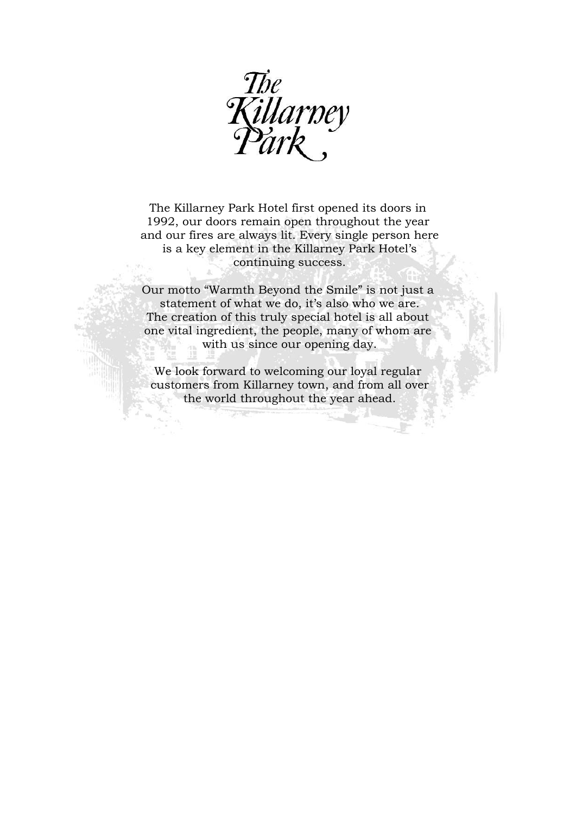

The Killarney Park Hotel first opened its doors in 1992, our doors remain open throughout the year and our fires are always lit. Every single person here is a key element in the Killarney Park Hotel's continuing success.

Our motto "Warmth Beyond the Smile" is not just a statement of what we do, it's also who we are. The creation of this truly special hotel is all about one vital ingredient, the people, many of whom are with us since our opening day.

We look forward to welcoming our loyal regular customers from Killarney town, and from all over the world throughout the year ahead.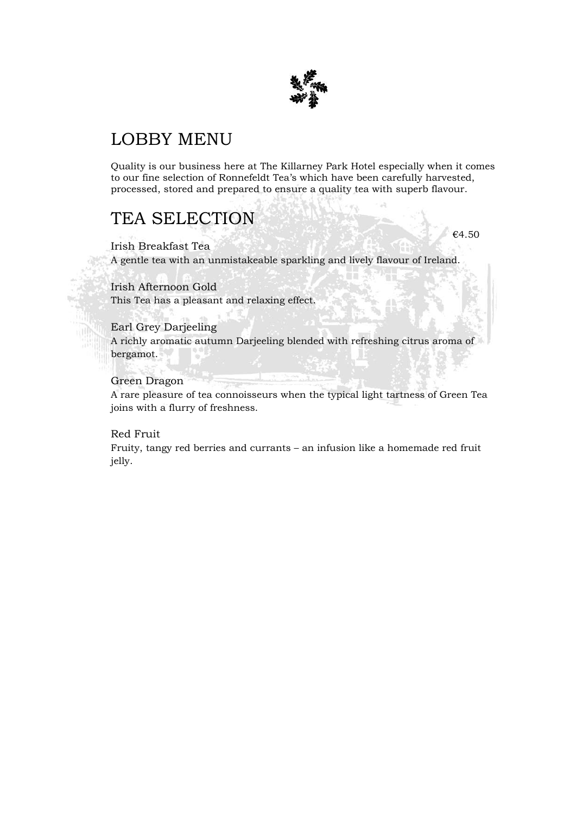

## LOBBY MENU

Quality is our business here at The Killarney Park Hotel especially when it comes to our fine selection of Ronnefeldt Tea's which have been carefully harvested, processed, stored and prepared to ensure a quality tea with superb flavour.

€4.50

## TEA SELECTION

Irish Breakfast Tea A gentle tea with an unmistakeable sparkling and lively flavour of Ireland.

### Irish Afternoon Gold

This Tea has a pleasant and relaxing effect.

### Earl Grey Darjeeling

A richly aromatic autumn Darjeeling blended with refreshing citrus aroma of bergamot.

### Green Dragon

A rare pleasure of tea connoisseurs when the typical light tartness of Green Tea joins with a flurry of freshness.

### Red Fruit

Fruity, tangy red berries and currants – an infusion like a homemade red fruit jelly.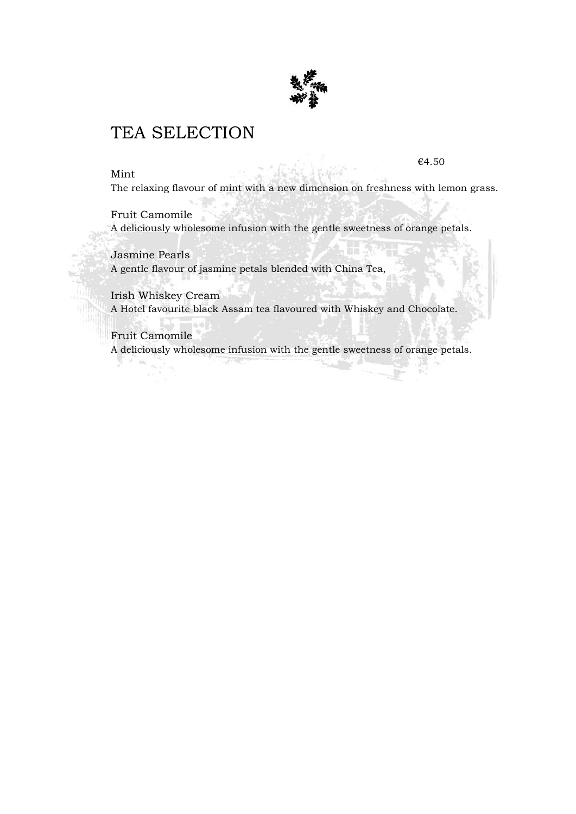

## TEA SELECTION

### Mint

€4.50

The relaxing flavour of mint with a new dimension on freshness with lemon grass.

Fruit Camomile A deliciously wholesome infusion with the gentle sweetness of orange petals.

Jasmine Pearls A gentle flavour of jasmine petals blended with China Tea,

Irish Whiskey Cream A Hotel favourite black Assam tea flavoured with Whiskey and Chocolate.

Fruit Camomile A deliciously wholesome infusion with the gentle sweetness of orange petals.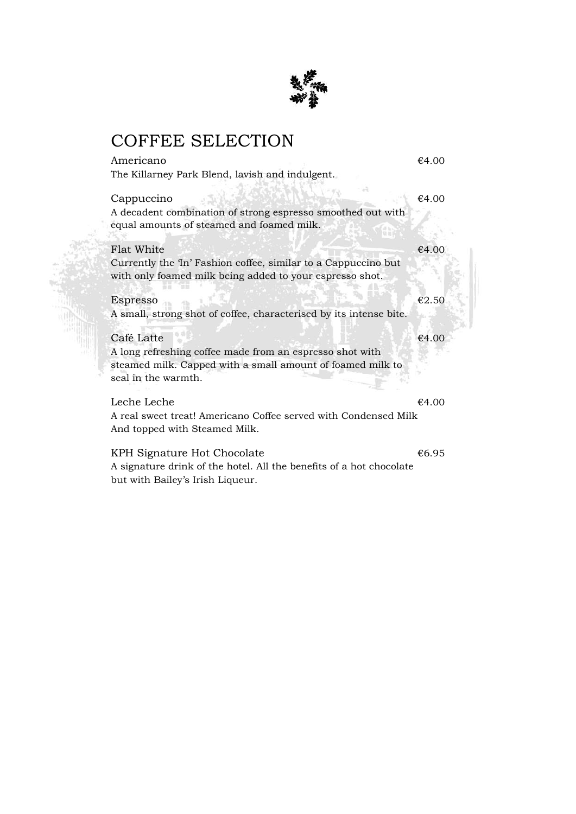

# COFFEE SELECTION

| Americano                                                                                                                  | €4.00 |
|----------------------------------------------------------------------------------------------------------------------------|-------|
| The Killarney Park Blend, lavish and indulgent.                                                                            |       |
| Cappuccino<br>A decadent combination of strong espresso smoothed out with<br>equal amounts of steamed and foamed milk.     | €4.00 |
| Flat White                                                                                                                 | €4.00 |
| Currently the 'In' Fashion coffee, similar to a Cappuccino but<br>with only foamed milk being added to your espresso shot. |       |
| Espresso                                                                                                                   | €2.50 |
| A small, strong shot of coffee, characterised by its intense bite.                                                         |       |
| Café Latte                                                                                                                 | €4.00 |
| A long refreshing coffee made from an espresso shot with                                                                   |       |
| steamed milk. Capped with a small amount of foamed milk to<br>seal in the warmth.                                          |       |
| Leche Leche                                                                                                                | €4.00 |
| A real sweet treat! Americano Coffee served with Condensed Milk                                                            |       |
| And topped with Steamed Milk.                                                                                              |       |
| KPH Signature Hot Chocolate                                                                                                | €6.95 |
| A signature drink of the hotel. All the benefits of a hot chocolate                                                        |       |
| but with Bailey's Irish Liqueur.                                                                                           |       |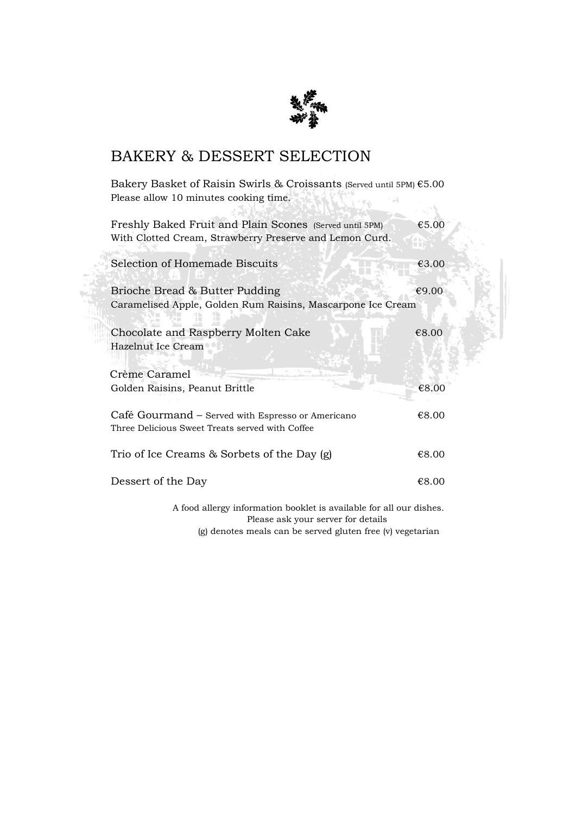

## BAKERY & DESSERT SELECTION

Bakery Basket of Raisin Swirls & Croissants (Served until 5PM) €5.00 Please allow 10 minutes cooking time. Service .  $\sim 12$ 一定个  $-301.7830$ 

| Freshly Baked Fruit and Plain Scones (Served until 5PM)<br>With Clotted Cream, Strawberry Preserve and Lemon Curd. | €5.00 |
|--------------------------------------------------------------------------------------------------------------------|-------|
| Selection of Homemade Biscuits                                                                                     | €3.00 |
| Brioche Bread & Butter Pudding<br>Caramelised Apple, Golden Rum Raisins, Mascarpone Ice Cream                      | €9.00 |
| Chocolate and Raspberry Molten Cake<br>Hazelnut Ice Cream                                                          | €8.00 |
| Crème Caramel<br>Golden Raisins, Peanut Brittle                                                                    | €8.00 |
| Café Gourmand - Served with Espresso or Americano<br>Three Delicious Sweet Treats served with Coffee               | €8.00 |
| Trio of Ice Creams & Sorbets of the Day (g)                                                                        | €8.00 |
| Dessert of the Day                                                                                                 | €8.00 |
| A food allergy information booklet is available for all our dishes.<br>Please ask your server for details          |       |

(g) denotes meals can be served gluten free (v) vegetarian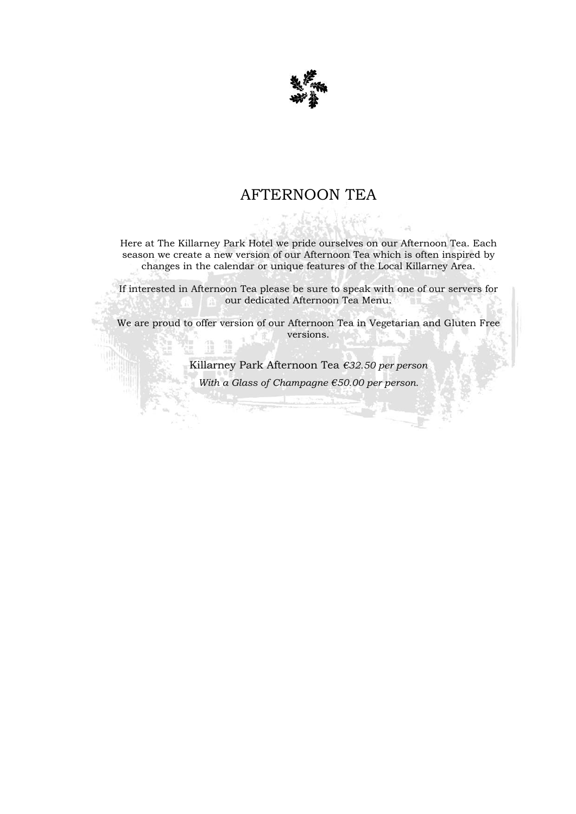

## AFTERNOON TEA

Here at The Killarney Park Hotel we pride ourselves on our Afternoon Tea. Each season we create a new version of our Afternoon Tea which is often inspired by changes in the calendar or unique features of the Local Killarney Area.

If interested in Afternoon Tea please be sure to speak with one of our servers for our dedicated Afternoon Tea Menu.

We are proud to offer version of our Afternoon Tea in Vegetarian and Gluten Free versions.

Killarney Park Afternoon Tea *€32.50 per person*

*With a Glass of Champagne €50.00 per person.*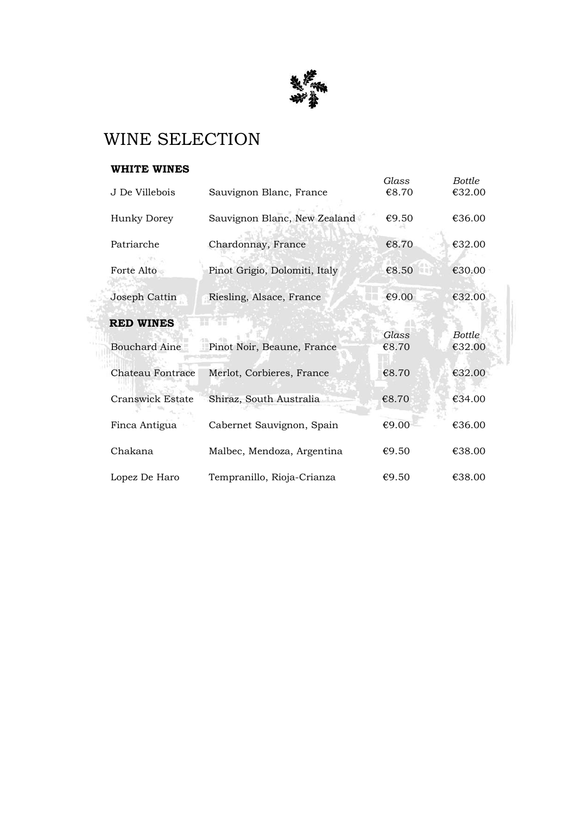

# WINE SELECTION

### **WHITE WINES**

|                         |                               | Glass | <b>Bottle</b> |
|-------------------------|-------------------------------|-------|---------------|
| J De Villebois          | Sauvignon Blanc, France       | €8.70 | €32.00        |
| Hunky Dorey             | Sauvignon Blanc, New Zealand  | €9.50 | €36.00        |
| Patriarche              | Chardonnay, France            | €8.70 | €32.00        |
| Forte Alto              | Pinot Grigio, Dolomiti, Italy | €8.50 | €30.00        |
| Joseph Cattin           | Riesling, Alsace, France      | €9.00 | €32.00        |
| <b>RED WINES</b>        |                               |       |               |
|                         |                               | Glass | <b>Bottle</b> |
| <b>Bouchard Aine</b>    | Pinot Noir, Beaune, France    | €8.70 | €32.00        |
| Chateau Fontrace        | Merlot, Corbieres, France     | €8.70 | €32.00        |
| <b>Cranswick Estate</b> | Shiraz, South Australia       | €8.70 | €34.00        |
| Finca Antigua           | Cabernet Sauvignon, Spain     | €9.00 | €36.00        |
| Chakana                 | Malbec, Mendoza, Argentina    | €9.50 | €38.00        |
| Lopez De Haro           | Tempranillo, Rioja-Crianza    | €9.50 | €38.00        |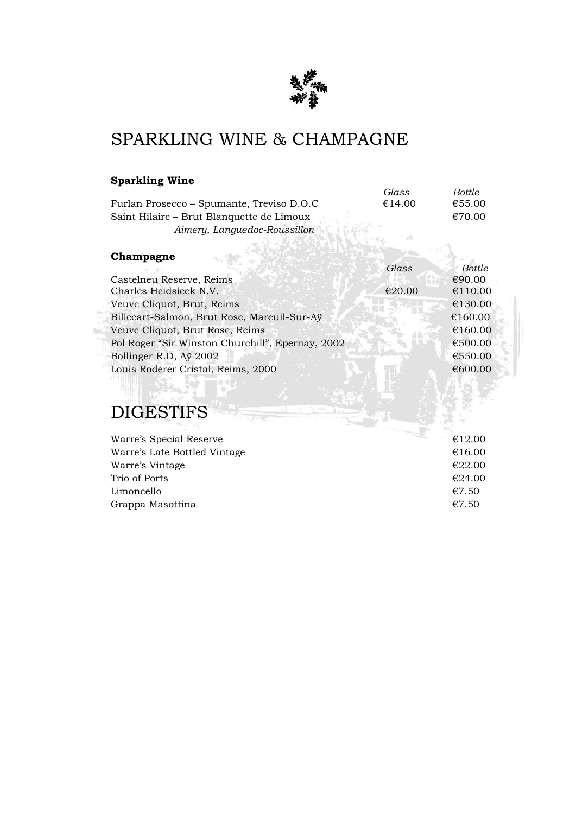

# SPARKLING WINE & CHAMPAGNE

### **Sparkling Wine**

|                                                  | Glass  | <b>Bottle</b> |
|--------------------------------------------------|--------|---------------|
| Furlan Prosecco - Spumante, Treviso D.O.C        | €14.00 | €55.00        |
| Saint Hilaire – Brut Blanquette de Limoux        |        | €70.00        |
| Aimery, Languedoc-Roussillon                     |        |               |
|                                                  |        |               |
| Champagne                                        |        |               |
|                                                  | Glass  | <b>Bottle</b> |
| Castelneu Reserve, Reims                         |        | €90.00        |
| Charles Heidsieck N.V.                           | €20.00 | €110.00       |
| Veuve Cliquot, Brut, Reims                       |        | €130.00       |
| Billecart-Salmon, Brut Rose, Mareuil-Sur-Aÿ      |        | €160.00       |
| Veuve Cliquot, Brut Rose, Reims                  |        | €160.00       |
| Pol Roger "Sir Winston Churchill", Epernay, 2002 |        | €500.00       |
| Bollinger R.D, Aÿ 2002                           |        | €550.00       |
| Louis Roderer Cristal, Reims, 2000               |        | €600.00       |
|                                                  |        |               |

# DIGESTIFS

| Warre's Special Reserve      | €12.00 |
|------------------------------|--------|
| Warre's Late Bottled Vintage | €16.00 |
| Warre's Vintage              | €22.00 |
| Trio of Ports                | €24.00 |
| Limoncello                   | €7.50  |
| Grappa Masottina             | €7.50  |
|                              |        |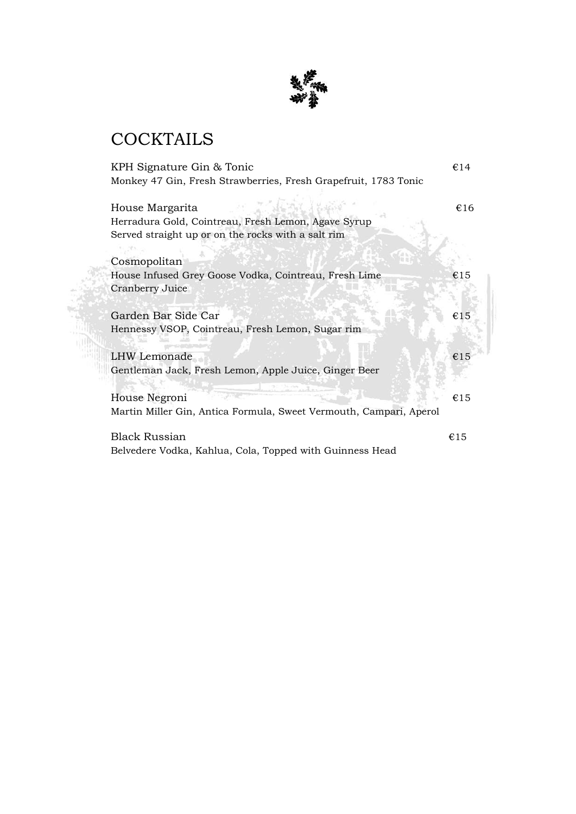

# **COCKTAILS**

| KPH Signature Gin & Tonic                                                                                                    | €14 |
|------------------------------------------------------------------------------------------------------------------------------|-----|
| Monkey 47 Gin, Fresh Strawberries, Fresh Grapefruit, 1783 Tonic                                                              |     |
| House Margarita<br>Herradura Gold, Cointreau, Fresh Lemon, Agave Syrup<br>Served straight up or on the rocks with a salt rim | €16 |
| Cosmopolitan                                                                                                                 |     |
| House Infused Grey Goose Vodka, Cointreau, Fresh Lime<br>Cranberry Juice                                                     | €15 |
| Garden Bar Side Car<br>Hennessy VSOP, Cointreau, Fresh Lemon, Sugar rim                                                      | €15 |
| <b>LHW</b> Lemonade<br>Gentleman Jack, Fresh Lemon, Apple Juice, Ginger Beer                                                 | €15 |
| House Negroni<br>Martin Miller Gin, Antica Formula, Sweet Vermouth, Campari, Aperol                                          | €15 |
| <b>Black Russian</b><br>Belvedere Vodka, Kahlua, Cola, Topped with Guinness Head                                             | €15 |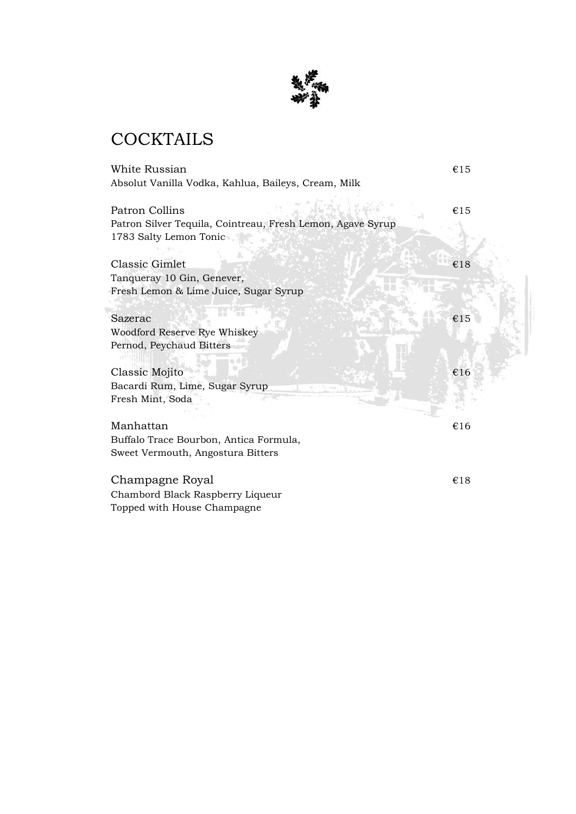

# **COCKTAILS**

| <b>White Russian</b>                                                                 | €15 |
|--------------------------------------------------------------------------------------|-----|
| Absolut Vanilla Vodka, Kahlua, Baileys, Cream, Milk                                  |     |
| <b>Patron Collins</b>                                                                | €15 |
| Patron Silver Tequila, Cointreau, Fresh Lemon, Agave Syrup<br>1783 Salty Lemon Tonic |     |
| <b>Classic Gimlet</b>                                                                | €18 |
| Tanqueray 10 Gin, Genever,                                                           |     |
| Fresh Lemon & Lime Juice, Sugar Syrup                                                |     |
| Sazerac                                                                              | €15 |
| Woodford Reserve Rye Whiskey                                                         |     |
| Pernod, Peychaud Bitters                                                             |     |
| Classic Mojito                                                                       | €16 |
| Bacardi Rum, Lime, Sugar Syrup                                                       |     |
| Fresh Mint, Soda                                                                     |     |
| Manhattan                                                                            | €16 |
| Buffalo Trace Bourbon, Antica Formula,                                               |     |
| Sweet Vermouth, Angostura Bitters                                                    |     |
| Champagne Royal                                                                      | €18 |
| Chambord Black Raspberry Liqueur                                                     |     |
| Topped with House Champagne                                                          |     |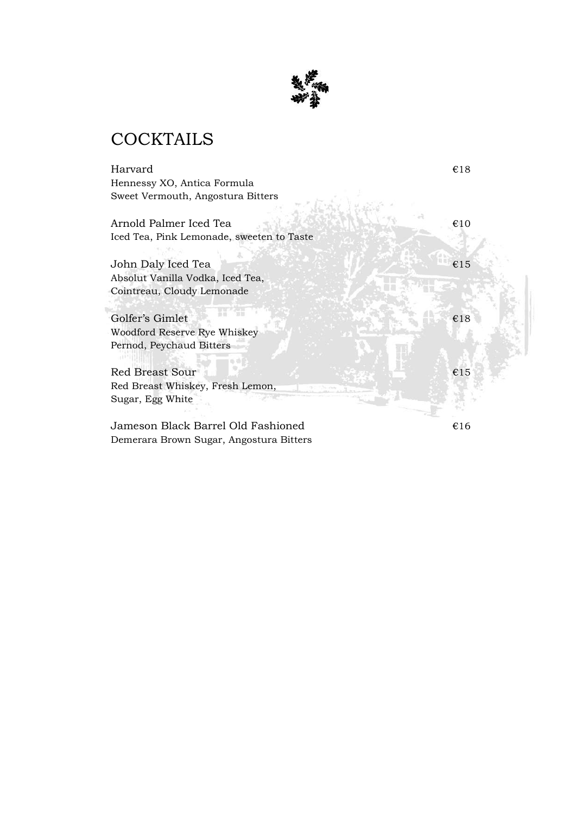

# **COCKTAILS**

Harvard  $\epsilon$ 18 Hennessy XO, Antica Formula Sweet Vermouth, Angostura Bitters Arnold Palmer Iced Tea  $\epsilon$ 10 Iced Tea, Pink Lemonade, sweeten to Taste John Daly Iced Tea  $\epsilon$ 15 Absolut Vanilla Vodka, Iced Tea, Cointreau, Cloudy Lemonade Golfer's Gimlet  $\epsilon$ 18 Woodford Reserve Rye Whiskey Pernod, Peychaud Bitters Red Breast Sour  $\epsilon$ 15 Red Breast Whiskey, Fresh Lemon, Sugar, Egg White Jameson Black Barrel Old Fashioned  $\epsilon$ 16

Demerara Brown Sugar, Angostura Bitters